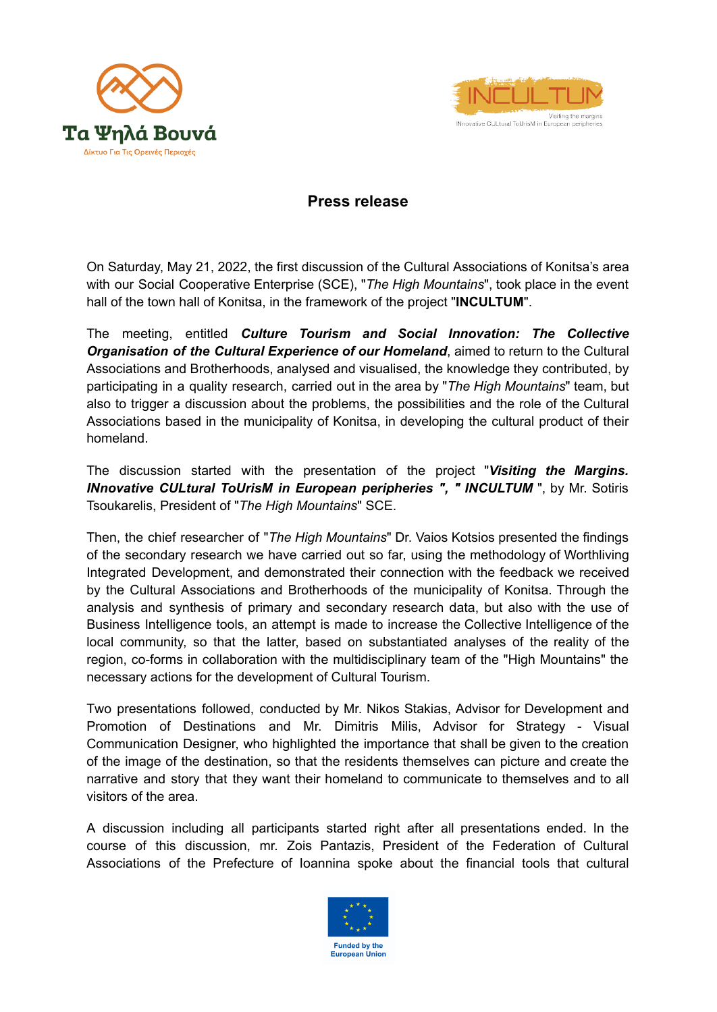



## **Press release**

On Saturday, May 21, 2022, the first discussion of the Cultural Associations of Konitsa's area with our Social Cooperative Enterprise (SCE), "*The High Mountains*", took place in the event hall of the town hall of Konitsa, in the framework of the project "**INCULTUM**".

The meeting, entitled *Culture Tourism and Social Innovation: The Collective Organisation of the Cultural Experience of our Homeland*, aimed to return to the Cultural Associations and Brotherhoods, analysed and visualised, the knowledge they contributed, by participating in a quality research, carried out in the area by "*The High Mountains*" team, but also to trigger a discussion about the problems, the possibilities and the role of the Cultural Associations based in the municipality of Konitsa, in developing the cultural product of their homeland.

The discussion started with the presentation of the project "*Visiting the Margins. INnovative CULtural ToUrisM in European peripheries ", " INCULTUM* ", by Mr. Sotiris Tsoukarelis, President of "*The High Mountains*" SCE.

Then, the chief researcher of "*The High Mountains*" Dr. Vaios Kotsios presented the findings of the secondary research we have carried out so far, using the methodology of Worthliving Integrated Development, and demonstrated their connection with the feedback we received by the Cultural Associations and Brotherhoods of the municipality of Konitsa. Through the analysis and synthesis of primary and secondary research data, but also with the use of Business Intelligence tools, an attempt is made to increase the Collective Intelligence of the local community, so that the latter, based on substantiated analyses of the reality of the region, co-forms in collaboration with the multidisciplinary team of the "High Mountains" the necessary actions for the development of Cultural Tourism.

Τwo presentations followed, conducted by Mr. Nikos Stakias, Advisor for Development and Promotion of Destinations and Mr. Dimitris Milis, Advisor for Strategy - Visual Communication Designer, who highlighted the importance that shall be given to the creation of the image of the destination, so that the residents themselves can picture and create the narrative and story that they want their homeland to communicate to themselves and to all visitors of the area.

A discussion including all participants started right after all presentations ended. In the course of this discussion, mr. Zois Pantazis, President of the Federation of Cultural Associations of the Prefecture of Ioannina spoke about the financial tools that cultural